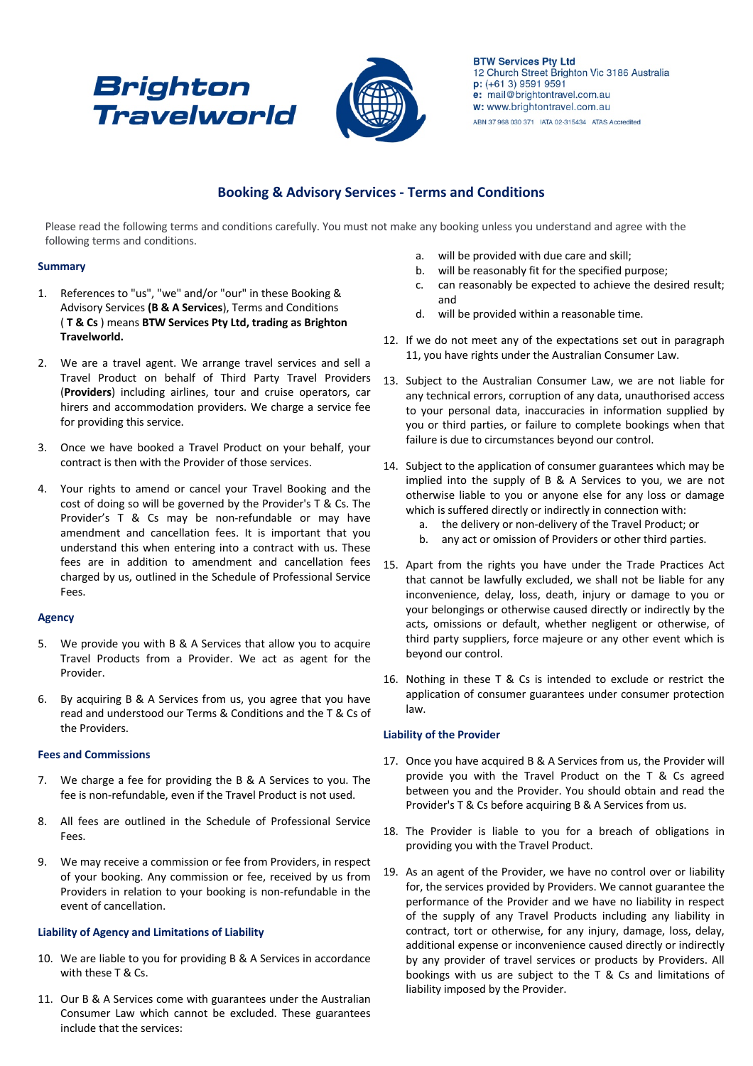# **Brighton Travelworld**



**BTW Services Pty Ltd** 12 Church Street Brighton Vic 3186 Australia p: (+61 3) 9591 9591 e: mail@brightontravel.com.au w: www.brightontravel.com.au ABN 37 968 030 371 IATA 02-315434 ATAS Accredited

# **Booking & Advisory Services - Terms and Conditions**

Please read the following terms and conditions carefully. You must not make any booking unless you understand and agree with the following terms and conditions.

# **Summary**

- 1. References to "us", "we" and/or "our" in these Booking & Advisory Services **(B & A Services**), Terms and Conditions ( **T & Cs** ) means **BTW Services Pty Ltd, trading as Brighton Travelworld.**
- 2. We are a travel agent. We arrange travel services and sell a Travel Product on behalf of Third Party Travel Providers (**Providers**) including airlines, tour and cruise operators, car hirers and accommodation providers. We charge a service fee for providing this service.
- 3. Once we have booked a Travel Product on your behalf, your contract is then with the Provider of those services.
- 4. Your rights to amend or cancel your Travel Booking and the cost of doing so will be governed by the Provider's T & Cs. The Provider's T & Cs may be non-refundable or may have amendment and cancellation fees. It is important that you understand this when entering into a contract with us. These fees are in addition to amendment and cancellation fees charged by us, outlined in the Schedule of Professional Service Fees.

# **Agency**

- 5. We provide you with B & A Services that allow you to acquire Travel Products from a Provider. We act as agent for the Provider.
- 6. By acquiring B & A Services from us, you agree that you have read and understood our Terms & Conditions and the T & Cs of the Providers.

# **Fees and Commissions**

- 7. We charge a fee for providing the B & A Services to you. The fee is non-refundable, even if the Travel Product is not used.
- 8. All fees are outlined in the Schedule of Professional Service Fees.
- 9. We may receive a commission or fee from Providers, in respect of your booking. Any commission or fee, received by us from Providers in relation to your booking is non-refundable in the event of cancellation.

# **Liability of Agency and Limitations of Liability**

- 10. We are liable to you for providing B & A Services in accordance with these T & Cs.
- 11. Our B & A Services come with guarantees under the Australian Consumer Law which cannot be excluded. These guarantees include that the services:
- a. will be provided with due care and skill;
- b. will be reasonably fit for the specified purpose;
- c. can reasonably be expected to achieve the desired result; and
- d. will be provided within a reasonable time.
- 12. If we do not meet any of the expectations set out in paragraph 11, you have rights under the Australian Consumer Law.
- 13. Subject to the Australian Consumer Law, we are not liable for any technical errors, corruption of any data, unauthorised access to your personal data, inaccuracies in information supplied by you or third parties, or failure to complete bookings when that failure is due to circumstances beyond our control.
- 14. Subject to the application of consumer guarantees which may be implied into the supply of B & A Services to you, we are not otherwise liable to you or anyone else for any loss or damage which is suffered directly or indirectly in connection with:
	- a. the delivery or non-delivery of the Travel Product; or
	- b. any act or omission of Providers or other third parties.
- 15. Apart from the rights you have under the Trade Practices Act that cannot be lawfully excluded, we shall not be liable for any inconvenience, delay, loss, death, injury or damage to you or your belongings or otherwise caused directly or indirectly by the acts, omissions or default, whether negligent or otherwise, of third party suppliers, force majeure or any other event which is beyond our control.
- 16. Nothing in these T & Cs is intended to exclude or restrict the application of consumer guarantees under consumer protection law.

# **Liability of the Provider**

- 17. Once you have acquired B & A Services from us, the Provider will provide you with the Travel Product on the T & Cs agreed between you and the Provider. You should obtain and read the Provider's T & Cs before acquiring B & A Services from us.
- 18. The Provider is liable to you for a breach of obligations in providing you with the Travel Product.
- 19. As an agent of the Provider, we have no control over or liability for, the services provided by Providers. We cannot guarantee the performance of the Provider and we have no liability in respect of the supply of any Travel Products including any liability in contract, tort or otherwise, for any injury, damage, loss, delay, additional expense or inconvenience caused directly or indirectly by any provider of travel services or products by Providers. All bookings with us are subject to the T & Cs and limitations of liability imposed by the Provider.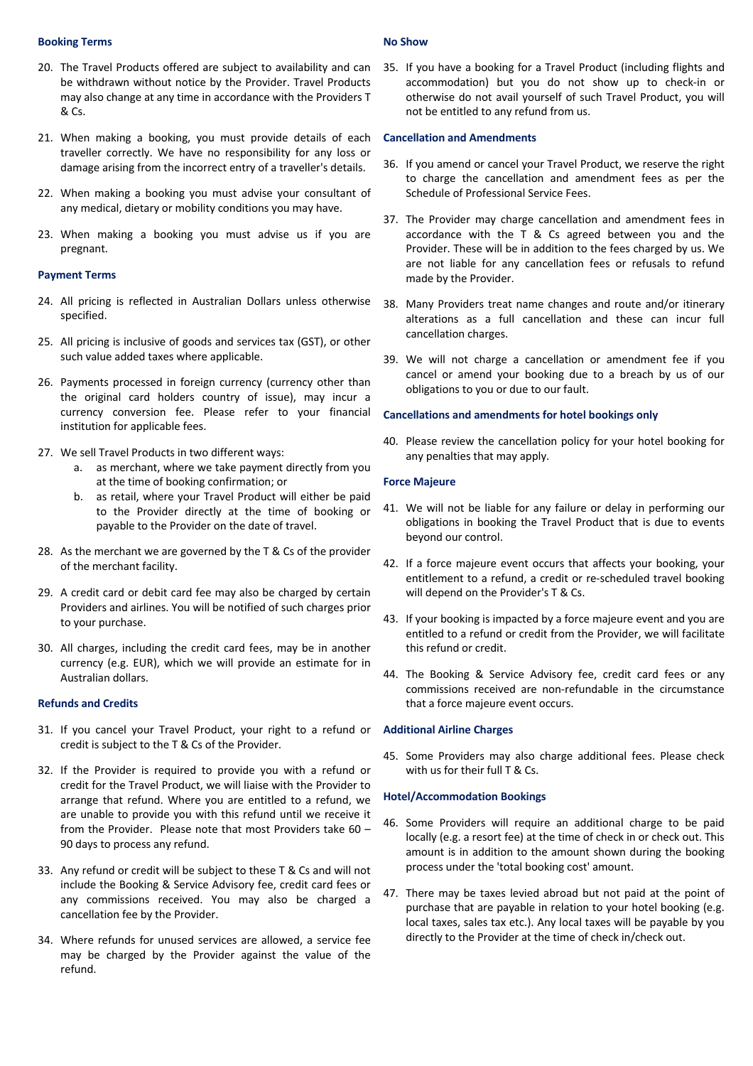# **Booking Terms**

- 20. The Travel Products offered are subject to availability and can be withdrawn without notice by the Provider. Travel Products may also change at any time in accordance with the Providers T & Cs.
- 21. When making a booking, you must provide details of each traveller correctly. We have no responsibility for any loss or damage arising from the incorrect entry of a traveller's details.
- 22. When making a booking you must advise your consultant of any medical, dietary or mobility conditions you may have.
- 23. When making a booking you must advise us if you are pregnant.

## **Payment Terms**

- 24. All pricing is reflected in Australian Dollars unless otherwise specified.
- 25. All pricing is inclusive of goods and services tax (GST), or other such value added taxes where applicable.
- 26. Payments processed in foreign currency (currency other than the original card holders country of issue), may incur a currency conversion fee. Please refer to your financial institution for applicable fees.
- 27. We sell Travel Products in two different ways:
	- a. as merchant, where we take payment directly from you at the time of booking confirmation; or
	- b. as retail, where your Travel Product will either be paid to the Provider directly at the time of booking or payable to the Provider on the date of travel.
- 28. As the merchant we are governed by the  $T$  & Cs of the provider of the merchant facility.
- 29. A credit card or debit card fee may also be charged by certain Providers and airlines. You will be notified of such charges prior to your purchase.
- 30. All charges, including the credit card fees, may be in another currency (e.g. EUR), which we will provide an estimate for in Australian dollars.

### **Refunds and Credits**

- 31. If you cancel your Travel Product, your right to a refund or credit is subject to the T & Cs of the Provider.
- 32. If the Provider is required to provide you with a refund or credit for the Travel Product, we will liaise with the Provider to arrange that refund. Where you are entitled to a refund, we are unable to provide you with this refund until we receive it from the Provider. Please note that most Providers take 60 – 90 days to process any refund.
- 33. Any refund or credit will be subject to these T & Cs and will not include the Booking & Service Advisory fee, credit card fees or any commissions received. You may also be charged a cancellation fee by the Provider.
- 34. Where refunds for unused services are allowed, a service fee may be charged by the Provider against the value of the refund.

#### **No Show**

35. If you have a booking for a Travel Product (including flights and accommodation) but you do not show up to check-in or otherwise do not avail yourself of such Travel Product, you will not be entitled to any refund from us.

#### **Cancellation and Amendments**

- 36. If you amend or cancel your Travel Product, we reserve the right to charge the cancellation and amendment fees as per the Schedule of Professional Service Fees.
- 37. The Provider may charge cancellation and amendment fees in accordance with the T & Cs agreed between you and the Provider. These will be in addition to the fees charged by us. We are not liable for any cancellation fees or refusals to refund made by the Provider.
- 38. Many Providers treat name changes and route and/or itinerary alterations as a full cancellation and these can incur full cancellation charges.
- 39. We will not charge a cancellation or amendment fee if you cancel or amend your booking due to a breach by us of our obligations to you or due to our fault.

## **Cancellations and amendments for hotel bookings only**

40. Please review the cancellation policy for your hotel booking for any penalties that may apply.

#### **Force Majeure**

- 41. We will not be liable for any failure or delay in performing our obligations in booking the Travel Product that is due to events beyond our control.
- 42. If a force majeure event occurs that affects your booking, your entitlement to a refund, a credit or re-scheduled travel booking will depend on the Provider's T & Cs.
- 43. If your booking is impacted by a force majeure event and you are entitled to a refund or credit from the Provider, we will facilitate this refund or credit.
- 44. The Booking & Service Advisory fee, credit card fees or any commissions received are non-refundable in the circumstance that a force majeure event occurs.

# **Additional Airline Charges**

45. Some Providers may also charge additional fees. Please check with us for their full T & Cs.

### **Hotel/Accommodation Bookings**

- 46. Some Providers will require an additional charge to be paid locally (e.g. a resort fee) at the time of check in or check out. This amount is in addition to the amount shown during the booking process under the 'total booking cost' amount.
- 47. There may be taxes levied abroad but not paid at the point of purchase that are payable in relation to your hotel booking (e.g. local taxes, sales tax etc.). Any local taxes will be payable by you directly to the Provider at the time of check in/check out.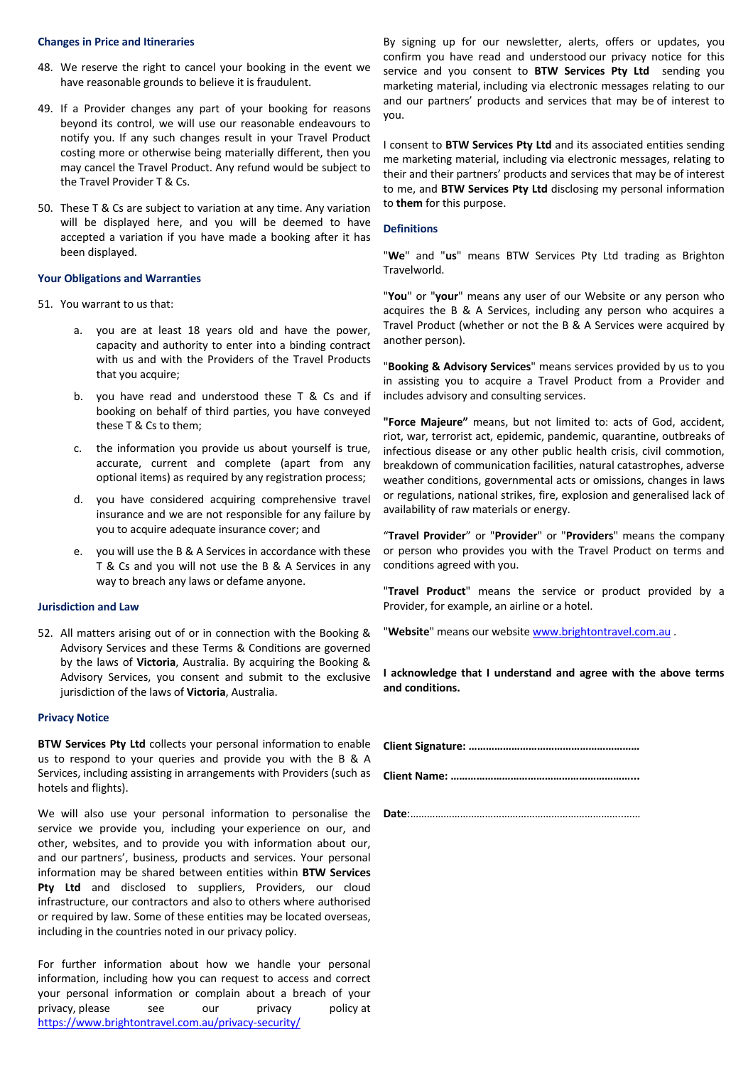#### **Changes in Price and Itineraries**

- 48. We reserve the right to cancel your booking in the event we have reasonable grounds to believe it is fraudulent.
- 49. If a Provider changes any part of your booking for reasons beyond its control, we will use our reasonable endeavours to notify you. If any such changes result in your Travel Product costing more or otherwise being materially different, then you may cancel the Travel Product. Any refund would be subject to the Travel Provider T & Cs.
- 50. These T & Cs are subject to variation at any time. Any variation will be displayed here, and you will be deemed to have accepted a variation if you have made a booking after it has been displayed.

#### **Your Obligations and Warranties**

- 51. You warrant to us that:
	- a. you are at least 18 years old and have the power, capacity and authority to enter into a binding contract with us and with the Providers of the Travel Products that you acquire;
	- b. you have read and understood these T & Cs and if booking on behalf of third parties, you have conveyed these T & Cs to them;
	- c. the information you provide us about yourself is true, accurate, current and complete (apart from any optional items) as required by any registration process;
	- d. you have considered acquiring comprehensive travel insurance and we are not responsible for any failure by you to acquire adequate insurance cover; and
	- e. you will use the B & A Services in accordance with these T & Cs and you will not use the B & A Services in any way to breach any laws or defame anyone.

# **Jurisdiction and Law**

52. All matters arising out of or in connection with the Booking & Advisory Services and these Terms & Conditions are governed by the laws of **Victoria**, Australia. By acquiring the Booking & Advisory Services, you consent and submit to the exclusive jurisdiction of the laws of **Victoria**, Australia.

# **Privacy Notice**

**BTW Services Pty Ltd** collects your personal information to enable us to respond to your queries and provide you with the B & A Services, including assisting in arrangements with Providers (such as hotels and flights).

We will also use your personal information to personalise the service we provide you, including your experience on our, and other, websites, and to provide you with information about our, and our partners', business, products and services. Your personal information may be shared between entities within **BTW Services**  Pty Ltd and disclosed to suppliers, Providers, our cloud infrastructure, our contractors and also to others where authorised or required by law. Some of these entities may be located overseas, including in the countries noted in our privacy policy.

For further information about how we handle your personal information, including how you can request to access and correct your personal information or complain about a breach of your privacy, please see our privacy policy at https://www.brightontravel.com.au/privacy-security/

By signing up for our newsletter, alerts, offers or updates, you confirm you have read and understood our privacy notice for this service and you consent to **BTW Services Pty Ltd** sending you marketing material, including via electronic messages relating to our and our partners' products and services that may be of interest to you.

I consent to **BTW Services Pty Ltd** and its associated entities sending me marketing material, including via electronic messages, relating to their and their partners' products and services that may be of interest to me, and **BTW Services Pty Ltd** disclosing my personal information to **them** for this purpose.

#### **Definitions**

"**We**" and "**us**" means BTW Services Pty Ltd trading as Brighton Travelworld.

"**You**" or "**your**" means any user of our Website or any person who acquires the B & A Services, including any person who acquires a Travel Product (whether or not the B & A Services were acquired by another person).

"**Booking & Advisory Services**" means services provided by us to you in assisting you to acquire a Travel Product from a Provider and includes advisory and consulting services.

**"Force Majeure"** means, but not limited to: acts of God, accident, riot, war, terrorist act, epidemic, pandemic, quarantine, outbreaks of infectious disease or any other public health crisis, civil commotion, breakdown of communication facilities, natural catastrophes, adverse weather conditions, governmental acts or omissions, changes in laws or regulations, national strikes, fire, explosion and generalised lack of availability of raw materials or energy.

"**Travel Provider**" or "**Provider**" or "**Providers**" means the company or person who provides you with the Travel Product on terms and conditions agreed with you.

"**Travel Product**" means the service or product provided by a Provider, for example, an airline or a hotel.

"**Website**" means our website www.brightontravel.com.au .

**I acknowledge that I understand and agree with the above terms and conditions.**

**Client Signature: ……………………………………………………**

**Client Name: ………………………………………………………...**

**Date**:…………………………………………………………………..……